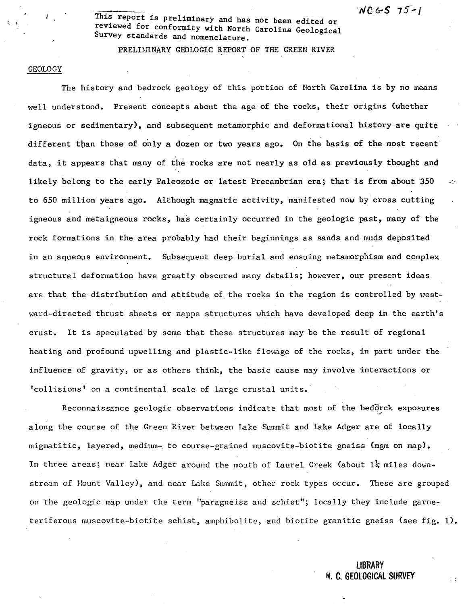$NCGS 75-1$ 

This report is preliminary and has not been edited or reviewed for conformity with North Carolina Geological Survey standards and nomenclature.

PRELIMINARY GEOLOGIC REPORT OF THE GREEN RIVER

### GEOLOGY

The history and bedrock geology of this portion of North Carolina is by no means well understood. Present concepts about the age of the rocks, their origins (whether igneous or sedimentary), and subsequent metamorphic and deformational history are quite different than those of only a dozen or two years ago. On the basis of the most recent data, it appears that many of the rocks are not nearly as old as previously thought and likely belong to the early Paleozoic or latest Precambrian era; that is from about 350 ... to 650 million years ago. Although magmatic activity, manifested now by cross cutting igneous and metaigneous rocks, has certainly occurred in the geologic past, many of the rock formations in the area probably had their beginnings as sands and muds deposited in an aqueous environment. Subsequent deep burial and ensuing metamorphism and complex structural deformation have greatly obscured many details; however, our present ideas are that the distribution and attitude of the rocks in the region is controlled by westward-directed thrust sheets or nappe structures which have developed deep in the earth's crust. It is speculated by some that these structures may be the result of regional heating and profound upwelling and plastic-like flovage of the rocks, in part under the influence of gravity, or as others think, the basic cause may involve interactions or 'collisions' on a continental scale of large crustal units.

Reconnaissance geologic observations indicate that most of the bedorck exposures along the course of the Green River between Lake Summit and Lake Adger are of locally migmatitic, layered, medium- to course-grained muscovite-biotite gneiss (mgm on map). In three areas; near Lake Adger around the mouth of Laurel Creek (about  $1\frac{1}{4}$  miles downstream of Mount Valley), and near Lake Summit, other rock types occur. These are grouped on the geologic map under the term "paragneiss and schist"; locally they include garneteriferous muscovite-biotite schist, amphibolite, and biotite granitic gneiss (see fig. 1).

> LIBRARY N. C. GEOLOGICAL SURVEY

 $\therefore$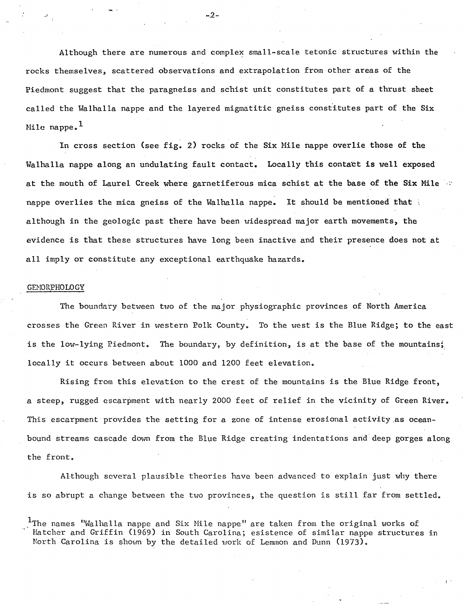Although there are numerous and complex small-scale tetonic structures within the rocks themselves, scattered observations and extrapolation from other areas of the Piedmont suggest that the paragneiss and schist unit constitutes part of a thrust sheet called the Walhalla nappe and the layered migmatitic gneiss constitutes part of the Six. Mile nappe. $<sup>1</sup>$ </sup>

In cross section (see fig. 2) rocks of the Six Mile nappe overlie those of the Walhalla nappe along an undulating fault contact. Locally this contact is well exposed at the mouth of Laurel Creek where garnetiferous mica schist at the base of the Six Mile  $\ddots$ nappe overlies the mica gneiss of the Walhalla nappe. It should be mentioned that : although in the geologic past there have been widespread major earth movements, the evidence is that these structures have long been inactive and their presence does not at all imply or constitute any exceptional earthquake hazards.

## GEMORPHOLOGY

The boundary between two of the major physiographic provinces of North America crosses the Green River in western Polk County. To the west is the Blue Ridge; to the east is the low-lying Piedmont. The boundary, by definition, is at the base of the mountains; locally it occurs between about 1000 and 1200 feet elevation.

Rising from this elevation to the crest of the mountains is the Blue Ridge front, a steep, rugged escarpment with nearly 2000 feet of relief in the vicinity of Green River. This escarpment provides the setting for a zone of intense erosional activity as oceanbound streams cascade down from the Blue Ridge creating indentations and deep gorges along the front.

Although several plausible theories have been advanced to explain just why there is so abrupt a change between the two provinces, the question is still far from settled.

 $1$ The names "Walhalla nappe and Six Mile nappe" are taken from the original works of Hatcher and Griffin (1969) in South Carolina; esistence of similar nappe structures in North Carolina is shown by the detailed work of Lemmon and Dunn (1973).

I'

-2-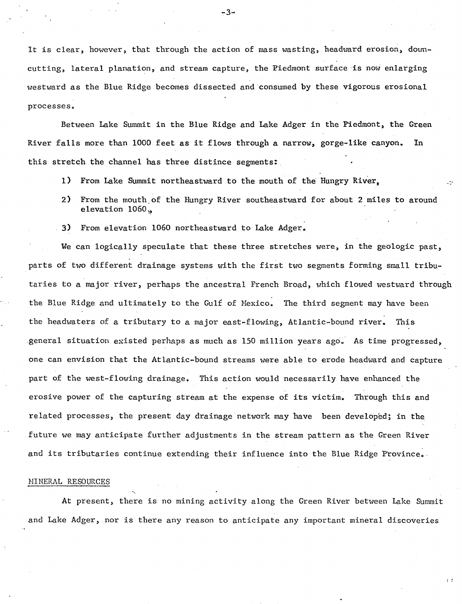It is clear, however, that through the action of mass wasting, headward erosion, downcutting, lateral planation, and stream capture, the Piedmont surface is now enlarging westward as the Blue Ridge becomes dissected and'consumed by these vigorous erosional processes.

Between Lake Summit in the Blue Ridge and Lake Adger in the Piedmont, the Green River falls more than 1000 feet as it flows through a narrow, gorge-like canyon. In this stretch the channel has three distince segments:.

- 1) From Lake Summit northeastward to the mouth of the Hungry River,
- 2) From the mouth of the Hungry River southeastward for about 2 miles to around elevation  $1060$ .
- 3) From elevation 1060 northeastward to Lake Adger.

We can logically speculate that these three stretches were, in the geologic past, parts of two different drainage systems with the first two segments forming small tribu-' taries to a major river, perhaps the ancestral French Broad, which flowed westward through the Blue Ridge and ultimately to the Gulf of Mexico. The third segment may have been the headwaters of a tributary to a major east-flowing, Atlantic-bound river. Tnis .general situation existed perhaps as much as 150 million years ago. As time progressed, one can envision that the Atlantic-bound streams were able to erode headward and capture part of the west-flowing drainage. This action would necessarily have enhanced the erosive power of the capturing stream at the expense of its victim. Through this and related processes, the present day drainage network may have been developed; in the .future we may anticipate further adjustments in the stream pattern as the Green River and its tributaries continue extending their influence into the Blue Ridge Province.

#### MINERAL RESOURCES

At present, there is no mining activity along the Green River between Lake Summit and Lake Adger, nor is there any reason to anticipate any important mineral discoveries

: :

~3-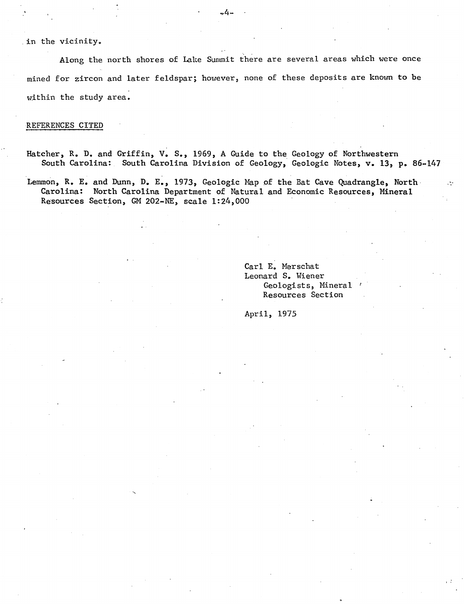in the vicinity.

Along the north shores of Lake Summit there are several areas which were once mined for zircon and later feldspar; however, none of these deposits are known to be within the study area.

## REFERENCES CITED

Hatcher, R. D. and Griffin, V. S., 1969, A Guide to the Geology of Northwestern South Carolina: South Carolina Division of Geology, Geologic Notes, v. 13, p. 86-147

Lemmon, R. E. and Dunn, D. E., 1973, Geologic Map of the Bat Cave Quadrangle, North Carolina: North Carolina Department of Natural and Economic Resources, Mineral Resources Section, GM 202-NE, scale 1:24,000

> Carl E. Merschat Leonard S. Wiener Geologists, Mineral Resources Section

April, 1975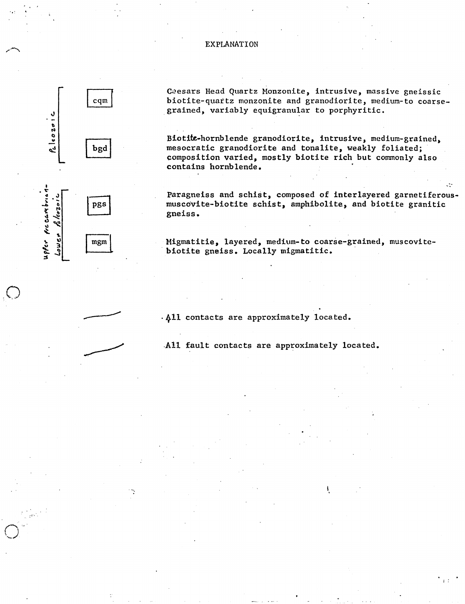# **EXPLANATION**

 $cqm$ 

bgd

pgs

mgm

 $P_{L}$   $\begin{array}{c} 1 & 0 \\ 0 & 0 \\ 0 & 0 \\ 0 & 1 \end{array}$ 

apper precambrian

Lower Palcozol

Ceesars Head Quartz Monzonite, intrusive, massive gneissic biotite-quartz monzonite and granodiorite, medium-to coarsegrained, variably equigranular to porphyritic.

Biotite-hornblende granodiorite, intrusive, medium-grained. mesocratic granodiorite and tonalite, weakly foliated; composition varied, mostly biotite rich but commonly also contains hornblende.

Paragneiss and schist, composed of interlayered garnetiferousmuscovite-biotite schist, amphibolite, and biotite granitic gneiss.

Migmatitie, layered, medium-to coarse-grained, muscovitebiotite gneiss. Locally migmatitic.

. All contacts are approximately located.

All fault contacts are approximately located.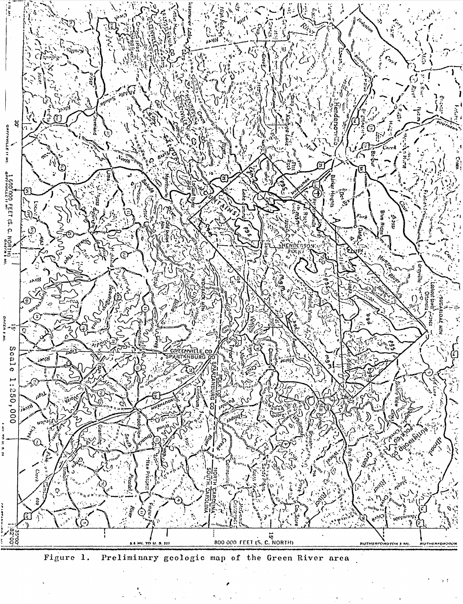

Figure 1. Preliminary geologic map of the Green River area